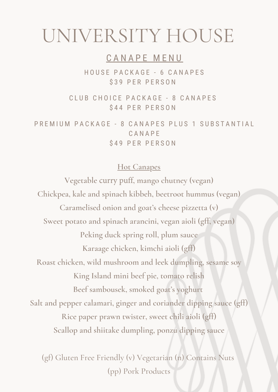# UNIVERSITY HOUSE

# CANAPE MENU

HOUSE PACKAGE - 6 CANAPES \$39 PER PERSON

CLUB CHOICE PACKAGE - 8 CANAPES \$44 PER PERSON

PREMIUM PACKAGE - 8 CANAPES PLUS 1 SUBSTANTIAL C A N A P E \$49 PER PERSON

#### **Hot Canapes**

**Vegetable** curry puff**, mango chutney (vegan) Chickpea, kale and spinach kibbeh, beetroot hummus (vegan) Caramelised onion and goat's cheese pizzetta (v) Sweet potato and spinach arancini, vegan aioli (gff, vegan) Peking duck spring roll, plum sauce Karaage chicken, kimchi aioli (gff) Roast chicken, wild mushroom and leek dumpling, sesame soy King Island mini beef pie, tomato relish Beef sambousek, smoked goat's yoghurt Salt and pepper calamari, ginger and coriander dipping sauce (gff) Rice paper prawn twister, sweet chili aioli (gff) Scallop and shiitake dumpling, ponzu dipping sauce**

(gf) Gluten Free Friendly (v) Vegetarian (n) Contains Nuts (pp) Pork Products